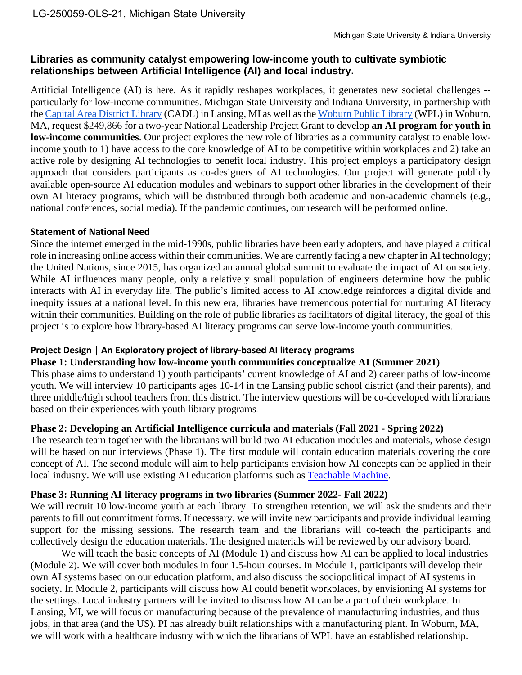# **Libraries as community catalyst empowering low-income youth to cultivate symbiotic relationships between Artificial Intelligence (AI) and local industry.**

Artificial Intelligence (AI) is here. As it rapidly reshapes workplaces, it generates new societal challenges - particularly for low-income communities. Michigan State University and Indiana University, in partnership with the [Capital Area District Library](https://www.cadl.org/) (CADL) in Lansing, MI as well as the [Woburn Public Library](https://woburnpubliclibrary.org/) (WPL) in Woburn, MA, request \$249,866 for a two-year National Leadership Project Grant to develop **an AI program for youth in low-income communities**. Our project explores the new role of libraries as a community catalyst to enable lowincome youth to 1) have access to the core knowledge of AI to be competitive within workplaces and 2) take an active role by designing AI technologies to benefit local industry. This project employs a participatory design approach that considers participants as co-designers of AI technologies. Our project will generate publicly available open-source AI education modules and webinars to support other libraries in the development of their own AI literacy programs, which will be distributed through both academic and non-academic channels (e.g., national conferences, social media). If the pandemic continues, our research will be performed online.

### **Statement of National Need**

Since the internet emerged in the mid-1990s, public libraries have been early adopters, and have played a critical role in increasing online access within their communities. We are currently facing a new chapter in AI technology; the United Nations, since 2015, has organized an annual global summit to evaluate the impact of AI on society. While AI influences many people, only a relatively small population of engineers determine how the public interacts with AI in everyday life. The public's limited access to AI knowledge reinforces a digital divide and inequity issues at a national level. In this new era, libraries have tremendous potential for nurturing AI literacy within their communities. Building on the role of public libraries as facilitators of digital literacy, the goal of this project is to explore how library-based AI literacy programs can serve low-income youth communities.

### **Project Design | An Exploratory project of library-based AI literacy programs**

## **Phase 1: Understanding how low-income youth communities conceptualize AI (Summer 2021)**

This phase aims to understand 1) youth participants' current knowledge of AI and 2) career paths of low-income youth. We will interview 10 participants ages 10-14 in the Lansing public school district (and their parents), and three middle/high school teachers from this district. The interview questions will be co-developed with librarians based on their experiences with youth library programs.

## **Phase 2: Developing an Artificial Intelligence curricula and materials (Fall 2021 - Spring 2022)**

The research team together with the librarians will build two AI education modules and materials, whose design will be based on our interviews (Phase 1). The first module will contain education materials covering the core concept of AI. The second module will aim to help participants envision how AI concepts can be applied in their local industry. We will use existing AI education platforms such as [Teachable Machine.](https://teachablemachine.withgoogle.com/)

### **Phase 3: Running AI literacy programs in two libraries (Summer 2022- Fall 2022)**

We will recruit 10 low-income youth at each library. To strengthen retention, we will ask the students and their parents to fill out commitment forms. If necessary, we will invite new participants and provide individual learning support for the missing sessions. The research team and the librarians will co-teach the participants and collectively design the education materials. The designed materials will be reviewed by our advisory board.

We will teach the basic concepts of AI (Module 1) and discuss how AI can be applied to local industries (Module 2). We will cover both modules in four 1.5-hour courses. In Module 1, participants will develop their own AI systems based on our education platform, and also discuss the sociopolitical impact of AI systems in society. In Module 2, participants will discuss how AI could benefit workplaces, by envisioning AI systems for the settings. Local industry partners will be invited to discuss how AI can be a part of their workplace. In Lansing, MI, we will focus on manufacturing because of the prevalence of manufacturing industries, and thus jobs, in that area (and the US). PI has already built relationships with a manufacturing plant. In Woburn, MA, we will work with a healthcare industry with which the librarians of WPL have an established relationship.